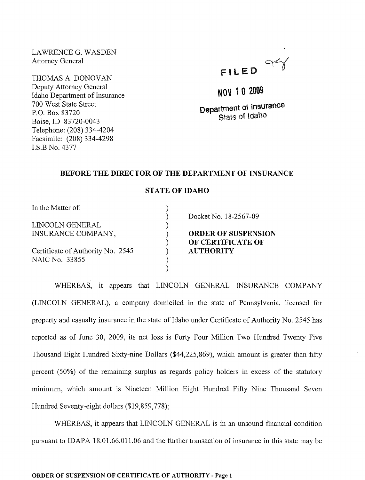LAWRENCE G. WASDEN Attorney General

THOMAS A. DONOVAN Deputy Attorney General Idaho Department of Insurance 700 West State Street P.O. Box 83720 Boise, ID 83720-0043 Telephone: (208) 334-4204 Facsimile: (208) 334-4298 I.S.B No. 4377



NOV 1 0 2009

Department of Insurance State of Idaho

## BEFORE THE DIRECTOR OF THE DEPARTMENT OF INSURANCE

## STATE OF IDAHO

) ) ) ) ) ) ) )

In the Matter of:

LINCOLN GENERAL INSURANCE COMPANY,

Certificate of Authority No. 2545 NAIC No. 33855

Docket No. 18-2567-09

ORDER OF SUSPENSION OF CERTIFICATE OF AUTHORITY

WHEREAS, it appears that LINCOLN GENERAL INSURANCE COMPANY (LINCOLN GENERAL), a company domiciled in the state of Pennsylvania, licensed for property and casualty insurance in the state of Idaho under Certificate of Authority No. 2545 has reported as of June 30, 2009, its net loss is Forty Four Million Two Hundred Twenty Five Thousand Eight Hundred Sixty-nine Dollars (\$44,225,869), which amount is greater than fifty percent (50%) of the remaining surplus as regards policy holders in excess of the statutory minimum, which amount is Nineteen Million Eight Hundred Fifty Nine Thousand Seven Hundred Seventy-eight dollars (\$19,859,778);

WHEREAS, it appears that LINCOLN GENERAL is in an unsound financial condition pursuant to IDAPA 18.01.66.011.06 and the further transaction of insurance in this state may be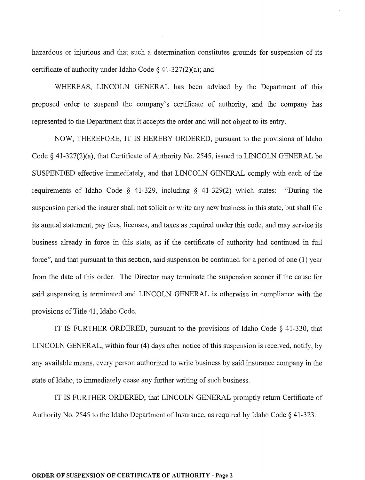hazardous or injurious and that such a determination constitutes grounds for suspension of its certificate of authority under Idaho Code  $\S$  41-327(2)(a); and

WHEREAS, LINCOLN GENERAL has been advised by the Department of this proposed order to suspend the company's certificate of authority, and the company has represented to the Department that it accepts the order and will not object to its entry.

NOW, THEREFORE, IT IS HEREBY ORDERED, pursuant to the provisions of Idaho Code § 41-327(2)(a), that Certificate of Authority No. 2545, issued to LINCOLN GENERAL be SUSPENDED effective immediately, and that LINCOLN GENERAL comply with each of the requirements of Idaho Code § 41-329, including § 41-329(2) which states: "During the suspension period the insurer shall not solicit or write any new business in this state, but shall file its annual statement, pay fees, licenses, and taxes as required under this code, and may service its business already in force in this state, as if the certificate of authority had continued in full force", and that pursuant to this section, said suspension be continued for a period of one (1) year from the date of this order. The Director may terminate the suspension sooner if the cause for said suspension is terminated and LINCOLN GENERAL is otherwise in compliance with the provisions of Title 41, Idaho Code.

IT IS FURTHER ORDERED, pursuant to the provisions of Idaho Code § 41-330, that LINCOLN GENERAL, within four (4) days after notice of this suspension is received, notify, by any available means, every person authorized to write business by said insurance company in the state of Idaho, to immediately cease any further writing of such business.

IT IS FURTHER ORDERED, that LINCOLN GENERAL promptly return Certificate of Authority No. 2545 to the Idaho Department of Insurance, as required by Idaho Code  $\S$  41-323.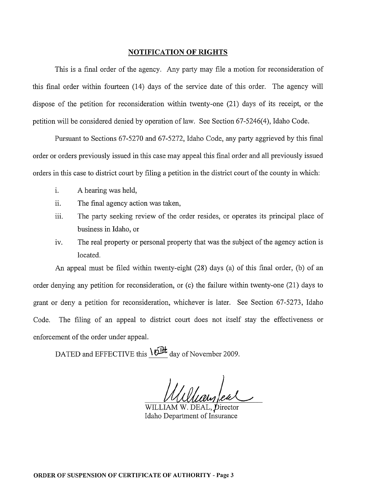## **NOTIFICATION OF RIGHTS**

This is a final order of the agency. Any party may file a motion for reconsideration of this final order within fourteen (14) days of the service date of this order. The agency will dispose of the petition for reconsideration within twenty-one (21) days of its receipt, or the petition will be considered denied by operation of law. See Section 67-5246(4), Idaho Code.

Pursuant to Sections 67-5270 and 67-5272, Idaho Code, any party aggrieved by this final order or orders previously issued in this case may appeal this final order and all previously issued orders in this case to district court by filing a petition in the district court of the county in which:

- 1. A hearing was held,
- ii. The final agency action was taken,
- iii. The party seeking review of the order resides, or operates its principal place of business in Idaho, or
- iv. The real property or personal property that was the subject of the agency action is located.

An appeal must be filed within twenty-eight (28) days (a) of this final order, (b) of an order denying any petition for reconsideration, or (c) the failure within twenty-one (21) days to grant or deny a petition for reconsideration, whichever is later. See Section 67-5273, Idaho Code. The filing of an appeal to district court does not itself stay the effectiveness or enforcement of the order under appeal.

DATED and EFFECTIVE this  $\theta$ **IH** day of November 2009.

WILLIAM W. DEAL, Director Idaho Department of Insurance

ORDER OF SUSPENSION OF CERTIFICATE OF AUTHORITY - Page 3